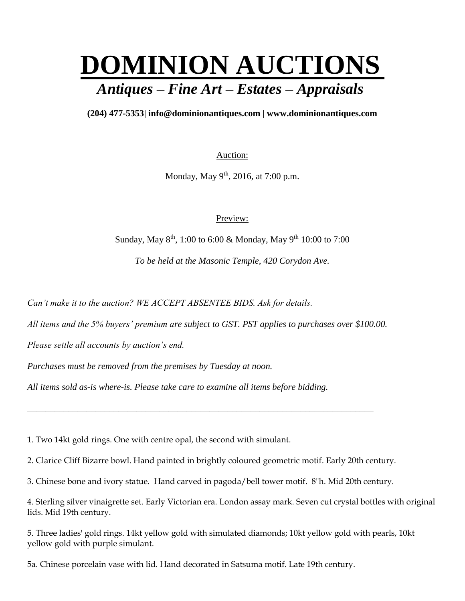## **DOMINION AUCTIONS** *Antiques – Fine Art – Estates – Appraisals*

## **(204) 477-5353| [info@dominionantiques.com | www.dominionantiques.com](mailto:info@dominionantiques.com%20%7C%20www.dominionantiques.com)**

Auction:

Monday, May 9<sup>th</sup>, 2016, at 7:00 p.m.

Preview:

Sunday, May  $8^{th}$ , 1:00 to 6:00 & Monday, May  $9^{th}$  10:00 to 7:00

*To be held at the Masonic Temple, 420 Corydon Ave.*

*Can't make it to the auction? WE ACCEPT ABSENTEE BIDS. Ask for details.*

*All items and the 5% buyers' premium are subject to GST. PST applies to purchases over \$100.00.*

*Please settle all accounts by auction's end.*

*Purchases must be removed from the premises by Tuesday at noon.*

*All items sold as-is where-is. Please take care to examine all items before bidding.*

1. Two 14kt gold rings. One with centre opal, the second with simulant.

2. Clarice Cliff Bizarre bowl. Hand painted in brightly coloured geometric motif. Early 20th century.

*\_\_\_\_\_\_\_\_\_\_\_\_\_\_\_\_\_\_\_\_\_\_\_\_\_\_\_\_\_\_\_\_\_\_\_\_\_\_\_\_\_\_\_\_\_\_\_\_\_\_\_\_\_\_\_\_\_\_\_\_\_\_\_\_\_\_\_\_\_\_\_\_\_\_\_\_*

3. Chinese bone and ivory statue. Hand carved in pagoda/bell tower motif. 8"h. Mid 20th century.

4. Sterling silver vinaigrette set. Early Victorian era. London assay mark. Seven cut crystal bottles with original lids. Mid 19th century.

5. Three ladies' gold rings. 14kt yellow gold with simulated diamonds; 10kt yellow gold with pearls, 10kt yellow gold with purple simulant.

5a. Chinese porcelain vase with lid. Hand decorated in Satsuma motif. Late 19th century.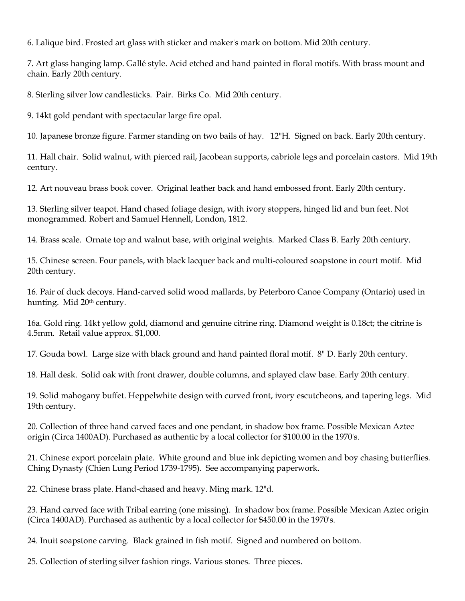6. Lalique bird. Frosted art glass with sticker and maker's mark on bottom. Mid 20th century.

7. Art glass hanging lamp. Gallé style. Acid etched and hand painted in floral motifs. With brass mount and chain. Early 20th century.

8. Sterling silver low candlesticks. Pair. Birks Co. Mid 20th century.

9. 14kt gold pendant with spectacular large fire opal.

10. Japanese bronze figure. Farmer standing on two bails of hay. 12"H. Signed on back. Early 20th century.

11. Hall chair. Solid walnut, with pierced rail, Jacobean supports, cabriole legs and porcelain castors. Mid 19th century.

12. Art nouveau brass book cover. Original leather back and hand embossed front. Early 20th century.

13. Sterling silver teapot. Hand chased foliage design, with ivory stoppers, hinged lid and bun feet. Not monogrammed. Robert and Samuel Hennell, London, 1812.

14. Brass scale. Ornate top and walnut base, with original weights. Marked Class B. Early 20th century.

15. Chinese screen. Four panels, with black lacquer back and multi-coloured soapstone in court motif. Mid 20th century.

16. Pair of duck decoys. Hand-carved solid wood mallards, by Peterboro Canoe Company (Ontario) used in hunting. Mid 20<sup>th</sup> century.

16a. Gold ring. 14kt yellow gold, diamond and genuine citrine ring. Diamond weight is 0.18ct; the citrine is 4.5mm. Retail value approx. \$1,000.

17. Gouda bowl. Large size with black ground and hand painted floral motif. 8" D. Early 20th century.

18. Hall desk. Solid oak with front drawer, double columns, and splayed claw base. Early 20th century.

19. Solid mahogany buffet. Heppelwhite design with curved front, ivory escutcheons, and tapering legs. Mid 19th century.

20. Collection of three hand carved faces and one pendant, in shadow box frame. Possible Mexican Aztec origin (Circa 1400AD). Purchased as authentic by a local collector for \$100.00 in the 1970's.

21. Chinese export porcelain plate. White ground and blue ink depicting women and boy chasing butterflies. Ching Dynasty (Chien Lung Period 1739-1795). See accompanying paperwork.

22. Chinese brass plate. Hand-chased and heavy. Ming mark. 12"d.

23. Hand carved face with Tribal earring (one missing). In shadow box frame. Possible Mexican Aztec origin (Circa 1400AD). Purchased as authentic by a local collector for \$450.00 in the 1970's.

24. Inuit soapstone carving. Black grained in fish motif. Signed and numbered on bottom.

25. Collection of sterling silver fashion rings. Various stones. Three pieces.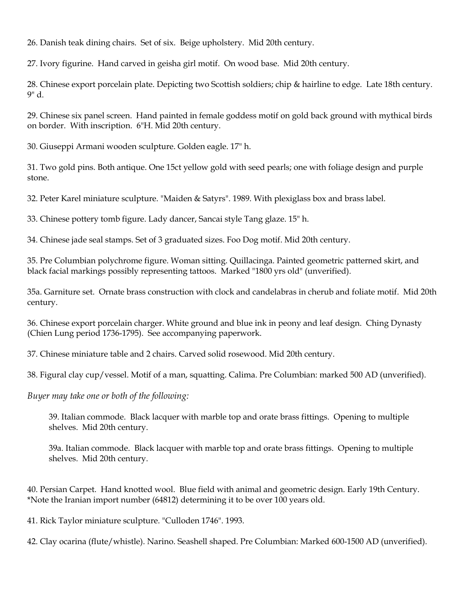26. Danish teak dining chairs. Set of six. Beige upholstery. Mid 20th century.

27. Ivory figurine. Hand carved in geisha girl motif. On wood base. Mid 20th century.

28. Chinese export porcelain plate. Depicting two Scottish soldiers; chip & hairline to edge. Late 18th century. 9" d.

29. Chinese six panel screen. Hand painted in female goddess motif on gold back ground with mythical birds on border. With inscription. 6"H. Mid 20th century.

30. Giuseppi Armani wooden sculpture. Golden eagle. 17" h.

31. Two gold pins. Both antique. One 15ct yellow gold with seed pearls; one with foliage design and purple stone.

32. Peter Karel miniature sculpture. "Maiden & Satyrs". 1989. With plexiglass box and brass label.

33. Chinese pottery tomb figure. Lady dancer, Sancai style Tang glaze. 15" h.

34. Chinese jade seal stamps. Set of 3 graduated sizes. Foo Dog motif. Mid 20th century.

35. Pre Columbian polychrome figure. Woman sitting. Quillacinga. Painted geometric patterned skirt, and black facial markings possibly representing tattoos. Marked "1800 yrs old" (unverified).

35a. Garniture set. Ornate brass construction with clock and candelabras in cherub and foliate motif. Mid 20th century.

36. Chinese export porcelain charger. White ground and blue ink in peony and leaf design. Ching Dynasty (Chien Lung period 1736-1795). See accompanying paperwork.

37. Chinese miniature table and 2 chairs. Carved solid rosewood. Mid 20th century.

38. Figural clay cup/vessel. Motif of a man, squatting. Calima. Pre Columbian: marked 500 AD (unverified).

*Buyer may take one or both of the following:*

39. Italian commode. Black lacquer with marble top and orate brass fittings. Opening to multiple shelves. Mid 20th century.

39a. Italian commode. Black lacquer with marble top and orate brass fittings. Opening to multiple shelves. Mid 20th century.

40. Persian Carpet. Hand knotted wool. Blue field with animal and geometric design. Early 19th Century. \*Note the Iranian import number (64812) determining it to be over 100 years old.

41. Rick Taylor miniature sculpture. "Culloden 1746". 1993.

42. Clay ocarina (flute/whistle). Narino. Seashell shaped. Pre Columbian: Marked 600-1500 AD (unverified).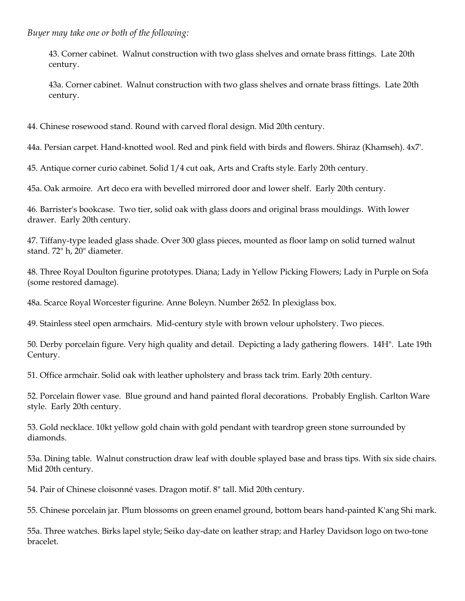*Buyer may take one or both of the following:*

43. Corner cabinet. Walnut construction with two glass shelves and ornate brass fittings. Late 20th century.

43a. Corner cabinet. Walnut construction with two glass shelves and ornate brass fittings. Late 20th century.

44. Chinese rosewood stand. Round with carved floral design. Mid 20th century.

44a. Persian carpet. Hand-knotted wool. Red and pink field with birds and flowers. Shiraz (Khamseh). 4x7'.

45. Antique corner curio cabinet. Solid 1/4 cut oak, Arts and Crafts style. Early 20th century.

45a. Oak armoire. Art deco era with bevelled mirrored door and lower shelf. Early 20th century.

46. Barrister's bookcase. Two tier, solid oak with glass doors and original brass mouldings. With lower drawer. Early 20th century.

47. Tiffany-type leaded glass shade. Over 300 glass pieces, mounted as floor lamp on solid turned walnut stand. 72" h, 20" diameter.

48. Three Royal Doulton figurine prototypes. Diana; Lady in Yellow Picking Flowers; Lady in Purple on Sofa (some restored damage).

48a. Scarce Royal Worcester figurine. Anne Boleyn. Number 2652. In plexiglass box.

49. Stainless steel open armchairs. Mid-century style with brown velour upholstery. Two pieces.

50. Derby porcelain figure. Very high quality and detail. Depicting a lady gathering flowers. 14H". Late 19th Century.

51. Office armchair. Solid oak with leather upholstery and brass tack trim. Early 20th century.

52. Porcelain flower vase. Blue ground and hand painted floral decorations. Probably English. Carlton Ware style. Early 20th century.

53. Gold necklace. 10kt yellow gold chain with gold pendant with teardrop green stone surrounded by diamonds.

53a. Dining table. Walnut construction draw leaf with double splayed base and brass tips. With six side chairs. Mid 20th century.

54. Pair of Chinese cloisonné vases. Dragon motif. 8" tall. Mid 20th century.

55. Chinese porcelain jar. Plum blossoms on green enamel ground, bottom bears hand-painted K'ang Shi mark.

55a. Three watches. Birks lapel style; Seiko day-date on leather strap; and Harley Davidson logo on two-tone bracelet.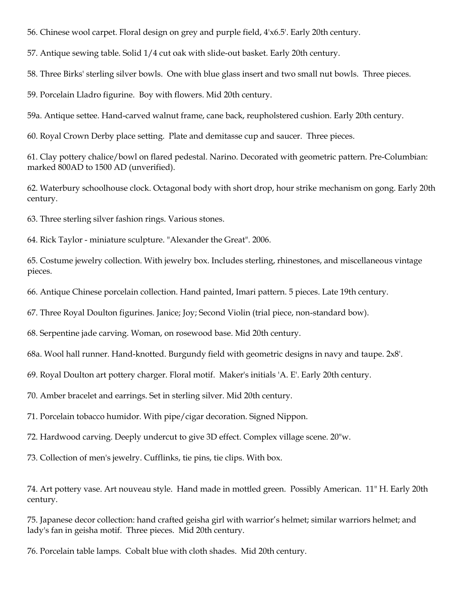56. Chinese wool carpet. Floral design on grey and purple field, 4'x6.5'. Early 20th century.

57. Antique sewing table. Solid 1/4 cut oak with slide-out basket. Early 20th century.

58. Three Birks' sterling silver bowls. One with blue glass insert and two small nut bowls. Three pieces.

59. Porcelain Lladro figurine. Boy with flowers. Mid 20th century.

59a. Antique settee. Hand-carved walnut frame, cane back, reupholstered cushion. Early 20th century.

60. Royal Crown Derby place setting. Plate and demitasse cup and saucer. Three pieces.

61. Clay pottery chalice/bowl on flared pedestal. Narino. Decorated with geometric pattern. Pre-Columbian: marked 800AD to 1500 AD (unverified).

62. Waterbury schoolhouse clock. Octagonal body with short drop, hour strike mechanism on gong. Early 20th century.

63. Three sterling silver fashion rings. Various stones.

64. Rick Taylor - miniature sculpture. "Alexander the Great". 2006.

65. Costume jewelry collection. With jewelry box. Includes sterling, rhinestones, and miscellaneous vintage pieces.

66. Antique Chinese porcelain collection. Hand painted, Imari pattern. 5 pieces. Late 19th century.

67. Three Royal Doulton figurines. Janice; Joy; Second Violin (trial piece, non-standard bow).

68. Serpentine jade carving. Woman, on rosewood base. Mid 20th century.

68a. Wool hall runner. Hand-knotted. Burgundy field with geometric designs in navy and taupe. 2x8'.

69. Royal Doulton art pottery charger. Floral motif. Maker's initials 'A. E'. Early 20th century.

70. Amber bracelet and earrings. Set in sterling silver. Mid 20th century.

71. Porcelain tobacco humidor. With pipe/cigar decoration. Signed Nippon.

72. Hardwood carving. Deeply undercut to give 3D effect. Complex village scene. 20"w.

73. Collection of men's jewelry. Cufflinks, tie pins, tie clips. With box.

74. Art pottery vase. Art nouveau style. Hand made in mottled green. Possibly American. 11" H. Early 20th century.

75. Japanese decor collection: hand crafted geisha girl with warrior's helmet; similar warriors helmet; and lady's fan in geisha motif. Three pieces. Mid 20th century.

76. Porcelain table lamps. Cobalt blue with cloth shades. Mid 20th century.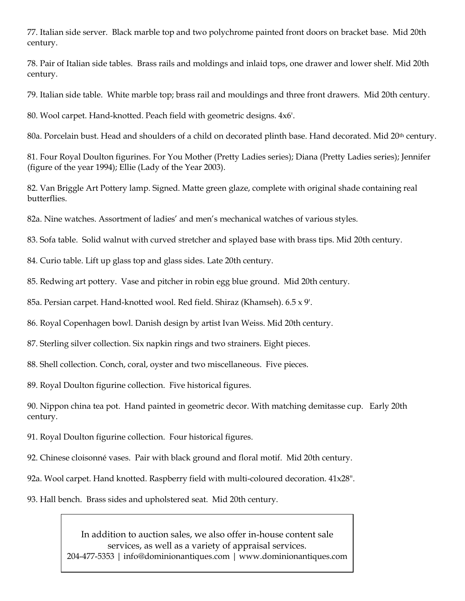77. Italian side server. Black marble top and two polychrome painted front doors on bracket base. Mid 20th century.

78. Pair of Italian side tables. Brass rails and moldings and inlaid tops, one drawer and lower shelf. Mid 20th century.

79. Italian side table. White marble top; brass rail and mouldings and three front drawers. Mid 20th century.

80. Wool carpet. Hand-knotted. Peach field with geometric designs. 4x6'.

80a. Porcelain bust. Head and shoulders of a child on decorated plinth base. Hand decorated. Mid 20th century.

81. Four Royal Doulton figurines. For You Mother (Pretty Ladies series); Diana (Pretty Ladies series); Jennifer (figure of the year 1994); Ellie (Lady of the Year 2003).

82. Van Briggle Art Pottery lamp. Signed. Matte green glaze, complete with original shade containing real butterflies.

82a. Nine watches. Assortment of ladies' and men's mechanical watches of various styles.

83. Sofa table. Solid walnut with curved stretcher and splayed base with brass tips. Mid 20th century.

84. Curio table. Lift up glass top and glass sides. Late 20th century.

85. Redwing art pottery. Vase and pitcher in robin egg blue ground. Mid 20th century.

85a. Persian carpet. Hand-knotted wool. Red field. Shiraz (Khamseh). 6.5 x 9'.

86. Royal Copenhagen bowl. Danish design by artist Ivan Weiss. Mid 20th century.

87. Sterling silver collection. Six napkin rings and two strainers. Eight pieces.

88. Shell collection. Conch, coral, oyster and two miscellaneous. Five pieces.

89. Royal Doulton figurine collection. Five historical figures.

90. Nippon china tea pot. Hand painted in geometric decor. With matching demitasse cup. Early 20th century.

- 91. Royal Doulton figurine collection. Four historical figures.
- 92. Chinese cloisonné vases. Pair with black ground and floral motif. Mid 20th century.
- 92a. Wool carpet. Hand knotted. Raspberry field with multi-coloured decoration. 41x28".
- 93. Hall bench. Brass sides and upholstered seat. Mid 20th century.

In addition to auction sales, we also offer in-house content sale services, as well as a variety of appraisal services. 204-477-5353 [| info@dominionantiques.com](mailto:info@dominionantiques.com) | www.dominionantiques.com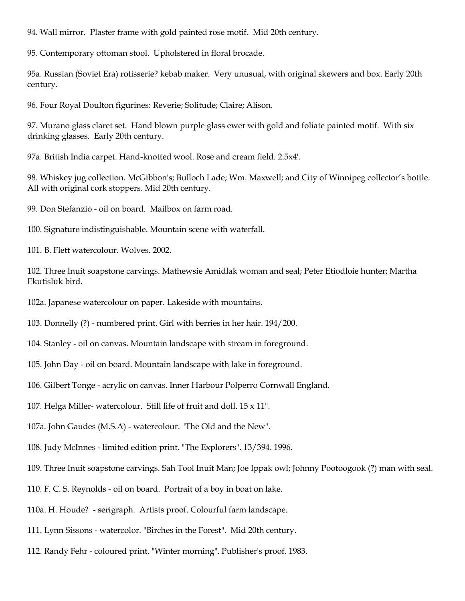94. Wall mirror. Plaster frame with gold painted rose motif. Mid 20th century.

95. Contemporary ottoman stool. Upholstered in floral brocade.

95a. Russian (Soviet Era) rotisserie? kebab maker. Very unusual, with original skewers and box. Early 20th century.

96. Four Royal Doulton figurines: Reverie; Solitude; Claire; Alison.

97. Murano glass claret set. Hand blown purple glass ewer with gold and foliate painted motif. With six drinking glasses. Early 20th century.

97a. British India carpet. Hand-knotted wool. Rose and cream field. 2.5x4'.

98. Whiskey jug collection. McGibbon's; Bulloch Lade; Wm. Maxwell; and City of Winnipeg collector's bottle. All with original cork stoppers. Mid 20th century.

99. Don Stefanzio - oil on board. Mailbox on farm road.

100. Signature indistinguishable. Mountain scene with waterfall.

101. B. Flett watercolour. Wolves. 2002.

102. Three Inuit soapstone carvings. Mathewsie Amidlak woman and seal; Peter Etiodloie hunter; Martha Ekutisluk bird.

102a. Japanese watercolour on paper. Lakeside with mountains.

103. Donnelly (?) - numbered print. Girl with berries in her hair. 194/200.

104. Stanley - oil on canvas. Mountain landscape with stream in foreground.

105. John Day - oil on board. Mountain landscape with lake in foreground.

106. Gilbert Tonge - acrylic on canvas. Inner Harbour Polperro Cornwall England.

107. Helga Miller- watercolour. Still life of fruit and doll. 15 x 11".

107a. John Gaudes (M.S.A) - watercolour. "The Old and the New".

108. Judy McInnes - limited edition print. "The Explorers". 13/394. 1996.

109. Three Inuit soapstone carvings. Sah Tool Inuit Man; Joe Ippak owl; Johnny Pootoogook (?) man with seal.

110. F. C. S. Reynolds - oil on board. Portrait of a boy in boat on lake.

110a. H. Houde? - serigraph. Artists proof. Colourful farm landscape.

111. Lynn Sissons - watercolor. "Birches in the Forest". Mid 20th century.

112. Randy Fehr - coloured print. "Winter morning". Publisher's proof. 1983.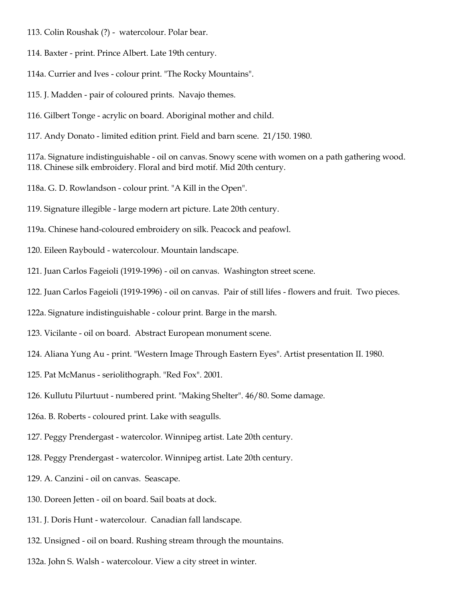- 113. Colin Roushak (?) watercolour. Polar bear.
- 114. Baxter print. Prince Albert. Late 19th century.
- 114a. Currier and Ives colour print. "The Rocky Mountains".
- 115. J. Madden pair of coloured prints. Navajo themes.
- 116. Gilbert Tonge acrylic on board. Aboriginal mother and child.
- 117. Andy Donato limited edition print. Field and barn scene. 21/150. 1980.

117a. Signature indistinguishable - oil on canvas. Snowy scene with women on a path gathering wood. 118. Chinese silk embroidery. Floral and bird motif. Mid 20th century.

- 118a. G. D. Rowlandson colour print. "A Kill in the Open".
- 119. Signature illegible large modern art picture. Late 20th century.
- 119a. Chinese hand-coloured embroidery on silk. Peacock and peafowl.
- 120. Eileen Raybould watercolour. Mountain landscape.
- 121. Juan Carlos Fageioli (1919-1996) oil on canvas. Washington street scene.
- 122. Juan Carlos Fageioli (1919-1996) oil on canvas. Pair of still lifes flowers and fruit. Two pieces.
- 122a. Signature indistinguishable colour print. Barge in the marsh.
- 123. Vicilante oil on board. Abstract European monument scene.
- 124. Aliana Yung Au print. "Western Image Through Eastern Eyes". Artist presentation II. 1980.
- 125. Pat McManus seriolithograph. "Red Fox". 2001.
- 126. Kullutu Pilurtuut numbered print. "Making Shelter". 46/80. Some damage.
- 126a. B. Roberts coloured print. Lake with seagulls.
- 127. Peggy Prendergast watercolor. Winnipeg artist. Late 20th century.
- 128. Peggy Prendergast watercolor. Winnipeg artist. Late 20th century.
- 129. A. Canzini oil on canvas. Seascape.
- 130. Doreen Jetten oil on board. Sail boats at dock.
- 131. J. Doris Hunt watercolour. Canadian fall landscape.
- 132. Unsigned oil on board. Rushing stream through the mountains.
- 132a. John S. Walsh watercolour. View a city street in winter.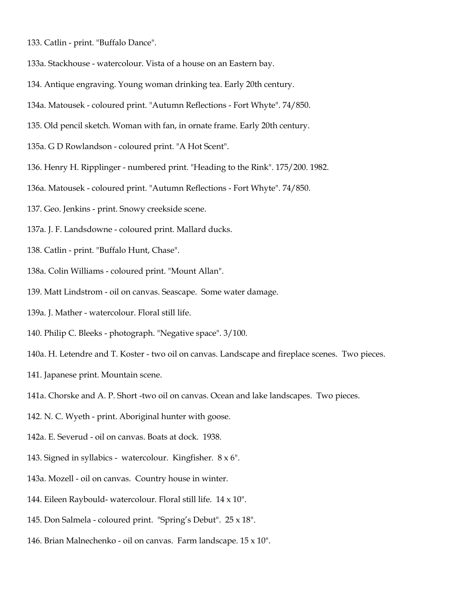- 133. Catlin print. "Buffalo Dance".
- 133a. Stackhouse watercolour. Vista of a house on an Eastern bay.
- 134. Antique engraving. Young woman drinking tea. Early 20th century.
- 134a. Matousek coloured print. "Autumn Reflections Fort Whyte". 74/850.
- 135. Old pencil sketch. Woman with fan, in ornate frame. Early 20th century.
- 135a. G D Rowlandson coloured print. "A Hot Scent".
- 136. Henry H. Ripplinger numbered print. "Heading to the Rink". 175/200. 1982.
- 136a. Matousek coloured print. "Autumn Reflections Fort Whyte". 74/850.
- 137. Geo. Jenkins print. Snowy creekside scene.
- 137a. J. F. Landsdowne coloured print. Mallard ducks.
- 138. Catlin print. "Buffalo Hunt, Chase".
- 138a. Colin Williams coloured print. "Mount Allan".
- 139. Matt Lindstrom oil on canvas. Seascape. Some water damage.
- 139a. J. Mather watercolour. Floral still life.
- 140. Philip C. Bleeks photograph. "Negative space". 3/100.
- 140a. H. Letendre and T. Koster two oil on canvas. Landscape and fireplace scenes. Two pieces.
- 141. Japanese print. Mountain scene.
- 141a. Chorske and A. P. Short -two oil on canvas. Ocean and lake landscapes. Two pieces.
- 142. N. C. Wyeth print. Aboriginal hunter with goose.
- 142a. E. Severud oil on canvas. Boats at dock. 1938.
- 143. Signed in syllabics watercolour. Kingfisher. 8 x 6".
- 143a. Mozell oil on canvas. Country house in winter.
- 144. Eileen Raybould- watercolour. Floral still life. 14 x 10".
- 145. Don Salmela coloured print. "Spring's Debut". 25 x 18".
- 146. Brian Malnechenko oil on canvas. Farm landscape. 15 x 10".